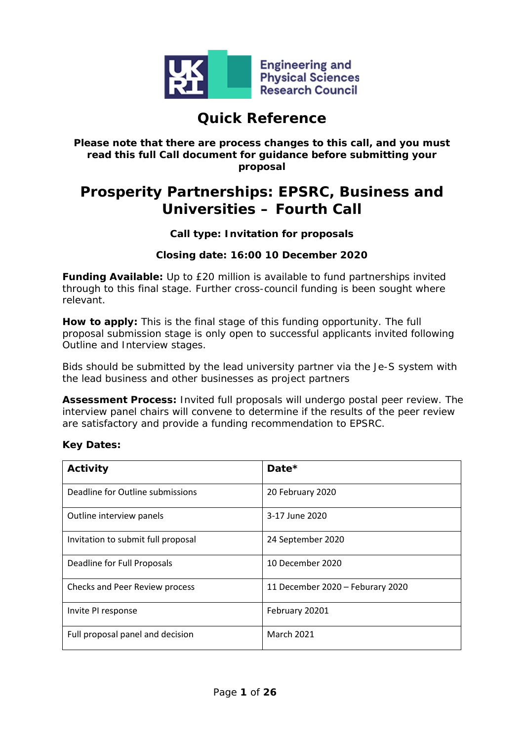

# **Quick Reference**

#### **Please note that there are process changes to this call, and you must read this full Call document for guidance before submitting your proposal**

# **Prosperity Partnerships: EPSRC, Business and Universities – Fourth Call**

### **Call type: Invitation for proposals**

### **Closing date: 16:00 10 December 2020**

**Funding Available:** Up to £20 million is available to fund partnerships invited through to this final stage. Further cross-council funding is been sought where relevant.

**How to apply:** This is the final stage of this funding opportunity. The full proposal submission stage is only open to successful applicants invited following Outline and Interview stages.

Bids should be submitted by the lead university partner via the Je-S system with the lead business and other businesses as project partners

**Assessment Process:** Invited full proposals will undergo postal peer review. The interview panel chairs will convene to determine if the results of the peer review are satisfactory and provide a funding recommendation to EPSRC.

#### **Key Dates:**

| Activity                           | Date $*$                         |
|------------------------------------|----------------------------------|
| Deadline for Outline submissions   | 20 February 2020                 |
| Outline interview panels           | 3-17 June 2020                   |
| Invitation to submit full proposal | 24 September 2020                |
| Deadline for Full Proposals        | 10 December 2020                 |
| Checks and Peer Review process     | 11 December 2020 - Feburary 2020 |
| Invite PI response                 | February 20201                   |
| Full proposal panel and decision   | <b>March 2021</b>                |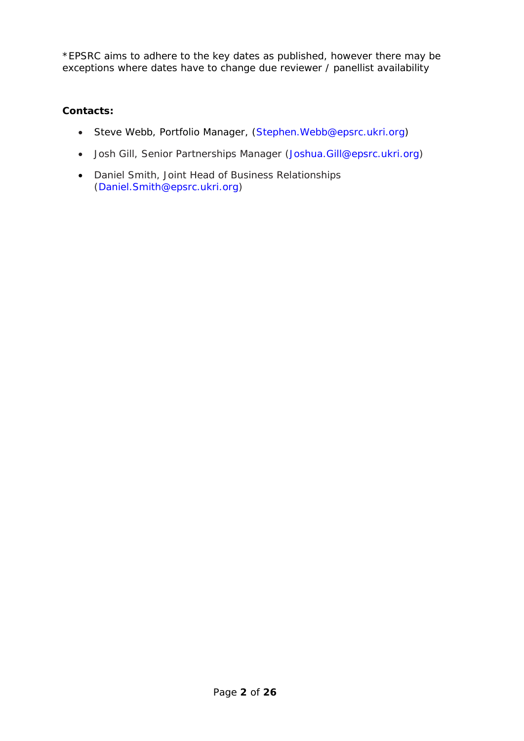\*EPSRC aims to adhere to the key dates as published, however there may be exceptions where dates have to change due reviewer / panellist availability

### **Contacts:**

- Steve Webb, Portfolio Manager, [\(Stephen.Webb@epsrc.ukri.org\)](mailto:Stephen.Webb@epsrc.ukri.org)
- Josh Gill, Senior Partnerships Manager [\(Joshua.Gill@epsrc.ukri.org\)](mailto:Joshua.Gill@epsrc.ukri.org)
- Daniel Smith, Joint Head of Business Relationships [\(Daniel.Smith@epsrc.ukri.org\)](mailto:Daniel.Smith@epsrc.ukri.org)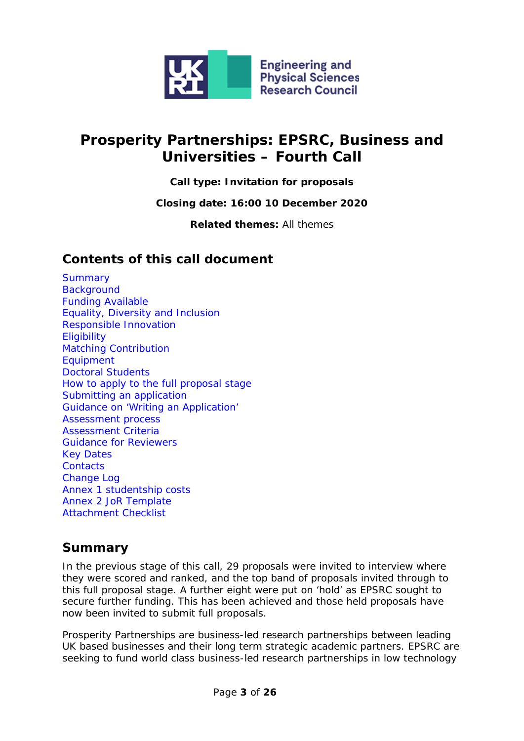

# **Prosperity Partnerships: EPSRC, Business and Universities – Fourth Call**

**Call type: Invitation for proposals**

**Closing date: 16:00 10 December 2020**

**Related themes:** All themes

### **Contents of this call document**

**[Summary](#page-2-0) [Background](#page-3-0)** [Funding Available](#page-3-1) [Equality, Diversity and Inclusion](#page-3-2) [Responsible Innovation](#page-4-0) **[Eligibility](#page-4-1)** [Matching Contribution](#page-5-0) [Equipment](#page-7-0) [Doctoral Students](#page-8-0) [How](#page-4-2) to apply to the full proposal stage [Submitting an application](#page-10-0) [Guidance on 'Writing an Application'](#page-10-1) [Assessment process](#page-16-0) [Assessment Criteria](#page-16-1) [Guidance for Reviewers](#page-19-0) [Key Dates](#page-21-0) **[Contacts](#page-21-1)** [Change Log](#page-22-0) Annex [1 studentship costs](#page-23-0) [Annex 2 JoR Template](#page-24-0) [Attachment Checklist](#page-25-0)

### <span id="page-2-0"></span>**[Summary](#page-22-1)**

In the previous stage of this call, 29 proposals were invited to interview where they were scored and ranked, and the top band of proposals invited through to this full proposal stage. A further eight were put on 'hold' as EPSRC sought to secure further funding. This has been achieved and those held proposals have now been invited to submit full proposals.

Prosperity Partnerships are business-led research partnerships between leading UK based businesses and their long term strategic academic partners. EPSRC are seeking to fund world class business-led research partnerships in low technology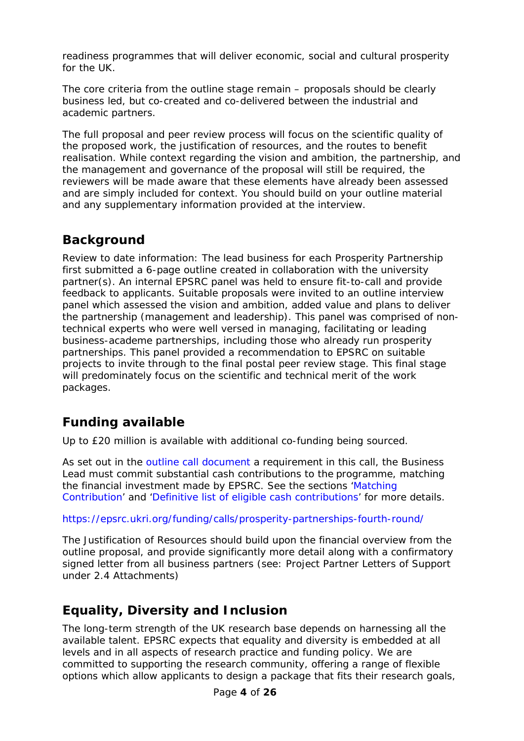readiness programmes that will deliver economic, social and cultural prosperity for the UK.

The core criteria from the outline stage remain – proposals should be clearly business led, but co-created and co-delivered between the industrial and academic partners.

The full proposal and peer review process will focus on the scientific quality of the proposed work, the justification of resources, and the routes to benefit realisation. While context regarding the vision and ambition, the partnership, and the management and governance of the proposal will still be required, the reviewers will be made aware that these elements have already been assessed and are simply included for context. You should build on your outline material and any supplementary information provided at the interview.

## <span id="page-3-0"></span>**Background**

Review to date information: The lead business for each Prosperity Partnership first submitted a 6-page outline created in collaboration with the university partner(s). An internal EPSRC panel was held to ensure fit-to-call and provide feedback to applicants. Suitable proposals were invited to an outline interview panel which assessed the vision and ambition, added value and plans to deliver the partnership (management and leadership). This panel was comprised of nontechnical experts who were well versed in managing, facilitating or leading business-academe partnerships, including those who already run prosperity partnerships. This panel provided a recommendation to EPSRC on suitable projects to invite through to the final postal peer review stage. This final stage will predominately focus on the scientific and technical merit of the work packages.

## <span id="page-3-1"></span>**Funding available**

Up to £20 million is available with additional co-funding being sourced.

As set out in the outline [call document](https://epsrc.ukri.org/funding/calls/prosperity-partnerships-fourth-round/) a requirement in this call, the Business Lead must commit substantial cash contributions to the programme, matching the financial investment made by EPSRC. See the sections ['Matching](#page-5-0)  [Contribution'](#page-5-0) and ['Definitive list of eligible cash contributions'](#page-6-0) for more details.

<https://epsrc.ukri.org/funding/calls/prosperity-partnerships-fourth-round/>

The Justification of Resources should build upon the financial overview from the outline proposal, and provide significantly more detail along with a confirmatory signed letter from all business partners (see: Project Partner Letters of Support under 2.4 Attachments)

## <span id="page-3-2"></span>**Equality, Diversity and Inclusion**

The long-term strength of the UK research base depends on harnessing all the available talent. EPSRC expects that equality and diversity is embedded at all levels and in all aspects of research practice and funding policy. We are committed to supporting the research community, offering a range of flexible options which allow applicants to design a package that fits their research goals,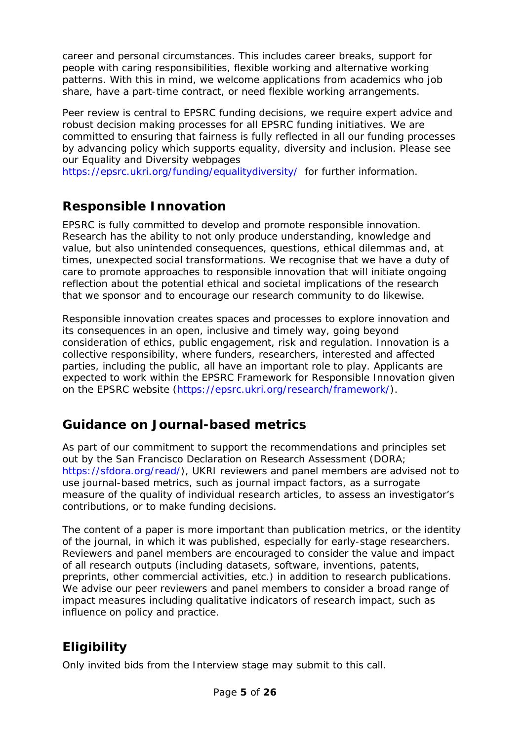career and personal circumstances. This includes career breaks, support for people with caring responsibilities, flexible working and alternative working patterns. With this in mind, we welcome applications from academics who job share, have a part-time contract, or need flexible working arrangements.

Peer review is central to EPSRC funding decisions, we require expert advice and robust decision making processes for all EPSRC funding initiatives. We are committed to ensuring that fairness is fully reflected in all our funding processes by advancing policy which supports equality, diversity and inclusion. Please see our Equality and Diversity webpages

<https://epsrc.ukri.org/funding/equalitydiversity/> for further information.

## <span id="page-4-0"></span>**Responsible Innovation**

EPSRC is fully committed to develop and promote responsible innovation. Research has the ability to not only produce understanding, knowledge and value, but also unintended consequences, questions, ethical dilemmas and, at times, unexpected social transformations. We recognise that we have a duty of care to promote approaches to responsible innovation that will initiate ongoing reflection about the potential ethical and societal implications of the research that we sponsor and to encourage our research community to do likewise.

Responsible innovation creates spaces and processes to explore innovation and its consequences in an open, inclusive and timely way, going beyond consideration of ethics, public engagement, risk and regulation. Innovation is a collective responsibility, where funders, researchers, interested and affected parties, including the public, all have an important role to play. Applicants are expected to work within the EPSRC Framework for Responsible Innovation given on the EPSRC website [\(https://epsrc.ukri.org/research/framework/\)](https://epsrc.ukri.org/research/framework/).

# **Guidance on Journal-based metrics**

As part of our commitment to support the recommendations and principles set out by the San Francisco Declaration on Research Assessment (DORA; [https://sfdora.org/read/\)](https://sfdora.org/read/), UKRI reviewers and panel members are advised not to use journal-based metrics, such as journal impact factors, as a surrogate measure of the quality of individual research articles, to assess an investigator's contributions, or to make funding decisions.

The content of a paper is more important than publication metrics, or the identity of the journal, in which it was published, especially for early-stage researchers. Reviewers and panel members are encouraged to consider the value and impact of all research outputs (including datasets, software, inventions, patents, preprints, other commercial activities, etc.) in addition to research publications. We advise our peer reviewers and panel members to consider a broad range of impact measures including qualitative indicators of research impact, such as influence on policy and practice.

# <span id="page-4-1"></span>**Eligibility**

<span id="page-4-2"></span>Only invited bids from the Interview stage may submit to this call.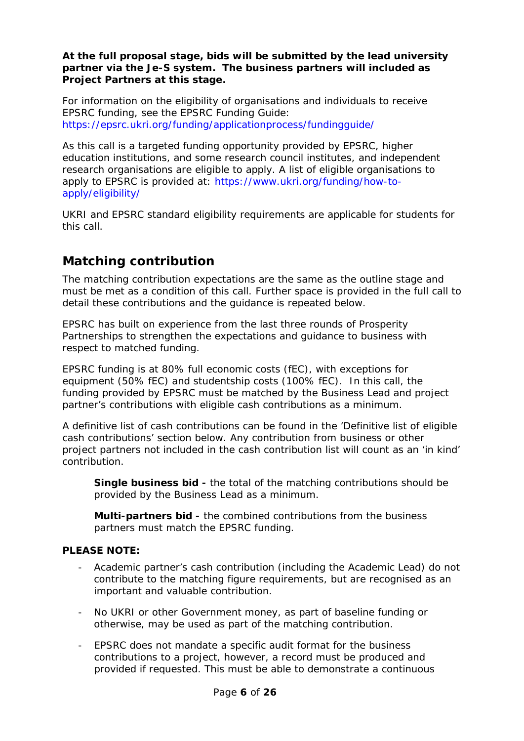**At the full proposal stage, bids will be submitted by the lead university partner via the Je-S system. The business partners will included as Project Partners at this stage.**

For information on the eligibility of organisations and individuals to receive EPSRC funding, see the EPSRC Funding Guide: <https://epsrc.ukri.org/funding/applicationprocess/fundingguide/>

As this call is a targeted funding opportunity provided by EPSRC, higher education institutions, and some research council institutes, and independent research organisations are eligible to apply. A list of eligible organisations to apply to EPSRC is provided at: [https://www.ukri.org/funding/how-to](https://www.ukri.org/funding/how-to-apply/eligibility/)[apply/eligibility/](https://www.ukri.org/funding/how-to-apply/eligibility/)

UKRI and EPSRC standard eligibility requirements are applicable for students for this call.

### <span id="page-5-0"></span>**Matching contribution**

The matching contribution expectations are the same as the outline stage and must be met as a condition of this call. Further space is provided in the full call to detail these contributions and the guidance is repeated below.

EPSRC has built on experience from the last three rounds of Prosperity Partnerships to strengthen the expectations and guidance to business with respect to matched funding.

EPSRC funding is at 80% full economic costs (fEC), with exceptions for equipment (50% fEC) and studentship costs (100% fEC). In this call, the funding provided by EPSRC must be matched by the Business Lead and project partner's contributions with eligible cash contributions as a minimum.

A definitive list of cash contributions can be found in the 'Definitive list of eligible cash contributions' section below. Any contribution from business or other project partners not included in the cash contribution list will count as an 'in kind' contribution.

**Single business bid -** the total of the matching contributions should be provided by the Business Lead as a minimum.

**Multi-partners bid -** the combined contributions from the business partners must match the EPSRC funding.

#### **PLEASE NOTE:**

- Academic partner's cash contribution (including the Academic Lead) do not contribute to the matching figure requirements, but are recognised as an important and valuable contribution.
- No UKRI or other Government money, as part of baseline funding or otherwise, may be used as part of the matching contribution.
- EPSRC does not mandate a specific audit format for the business contributions to a project, however, a record must be produced and provided if requested. This must be able to demonstrate a continuous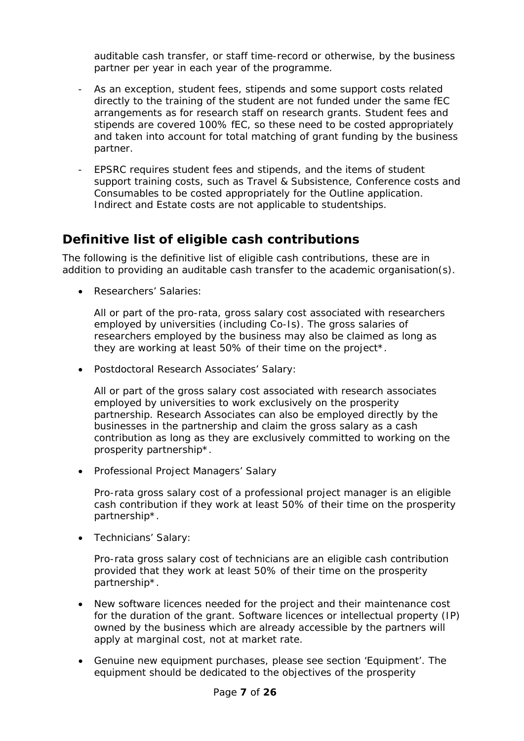auditable cash transfer, or staff time-record or otherwise, by the business partner per year in each year of the programme.

- As an exception, student fees, stipends and some support costs related directly to the training of the student are not funded under the same fEC arrangements as for research staff on research grants. Student fees and stipends are covered 100% fEC, so these need to be costed appropriately and taken into account for total matching of grant funding by the business partner.
- EPSRC requires student fees and stipends, and the items of student support training costs, such as Travel & Subsistence, Conference costs and Consumables to be costed appropriately for the Outline application. Indirect and Estate costs are not applicable to studentships.

### <span id="page-6-0"></span>**Definitive list of eligible cash contributions**

The following is the definitive list of eligible cash contributions, these are in addition to providing an auditable cash transfer to the academic organisation(s).

• Researchers' Salaries:

All or part of the pro-rata, gross salary cost associated with researchers employed by universities (including Co-Is). The gross salaries of researchers employed by the business may also be claimed as long as they are working at least 50% of their time on the project\*.

• Postdoctoral Research Associates' Salary:

All or part of the gross salary cost associated with research associates employed by universities to work exclusively on the prosperity partnership. Research Associates can also be employed directly by the businesses in the partnership and claim the gross salary as a cash contribution as long as they are exclusively committed to working on the prosperity partnership\*.

• Professional Project Managers' Salary

Pro-rata gross salary cost of a professional project manager is an eligible cash contribution if they work at least 50% of their time on the prosperity partnership\*.

• Technicians' Salary:

Pro-rata gross salary cost of technicians are an eligible cash contribution provided that they work at least 50% of their time on the prosperity partnership\*.

- New software licences needed for the project and their maintenance cost for the duration of the grant. Software licences or intellectual property (IP) owned by the business which are already accessible by the partners will apply at marginal cost, not at market rate.
- Genuine new equipment purchases, please see section 'Equipment'. The equipment should be dedicated to the objectives of the prosperity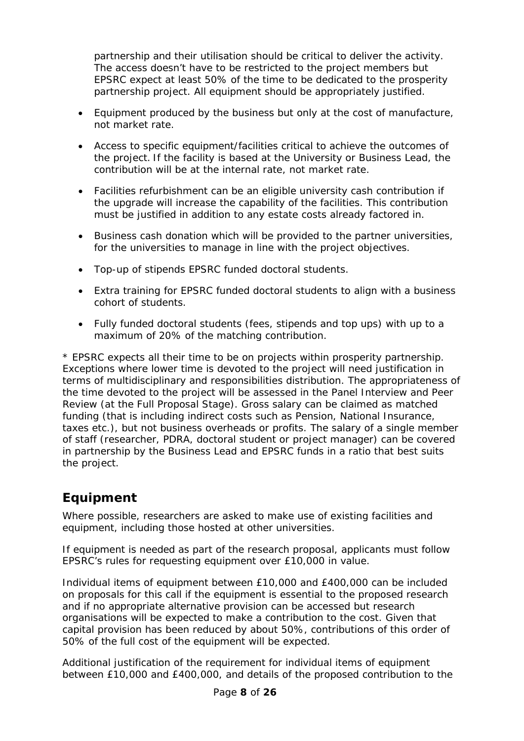partnership and their utilisation should be critical to deliver the activity. The access doesn't have to be restricted to the project members but EPSRC expect at least 50% of the time to be dedicated to the prosperity partnership project. All equipment should be appropriately justified.

- Equipment produced by the business but only at the cost of manufacture, not market rate.
- Access to specific equipment/facilities critical to achieve the outcomes of the project. If the facility is based at the University or Business Lead, the contribution will be at the internal rate, not market rate.
- Facilities refurbishment can be an eligible university cash contribution if the upgrade will increase the capability of the facilities. This contribution must be justified in addition to any estate costs already factored in.
- Business cash donation which will be provided to the partner universities, for the universities to manage in line with the project objectives.
- Top-up of stipends EPSRC funded doctoral students.
- Extra training for EPSRC funded doctoral students to align with a business cohort of students.
- Fully funded doctoral students (fees, stipends and top ups) with up to a maximum of 20% of the matching contribution.

\* EPSRC expects all their time to be on projects within prosperity partnership. Exceptions where lower time is devoted to the project will need justification in terms of multidisciplinary and responsibilities distribution. The appropriateness of the time devoted to the project will be assessed in the Panel Interview and Peer Review (at the Full Proposal Stage). Gross salary can be claimed as matched funding (that is including indirect costs such as Pension, National Insurance, taxes etc.), but not business overheads or profits. The salary of a single member of staff (researcher, PDRA, doctoral student or project manager) can be covered in partnership by the Business Lead and EPSRC funds in a ratio that best suits the project.

# <span id="page-7-0"></span>**Equipment**

Where possible, researchers are asked to make use of existing facilities and equipment, including those hosted at other universities.

If equipment is needed as part of the research proposal, applicants must follow EPSRC's rules for requesting equipment over £10,000 in value.

Individual items of equipment between £10,000 and £400,000 can be included on proposals for this call if the equipment is essential to the proposed research and if no appropriate alternative provision can be accessed but research organisations will be expected to make a contribution to the cost. Given that capital provision has been reduced by about 50%, contributions of this order of 50% of the full cost of the equipment will be expected.

Additional justification of the requirement for individual items of equipment between £10,000 and £400,000, and details of the proposed contribution to the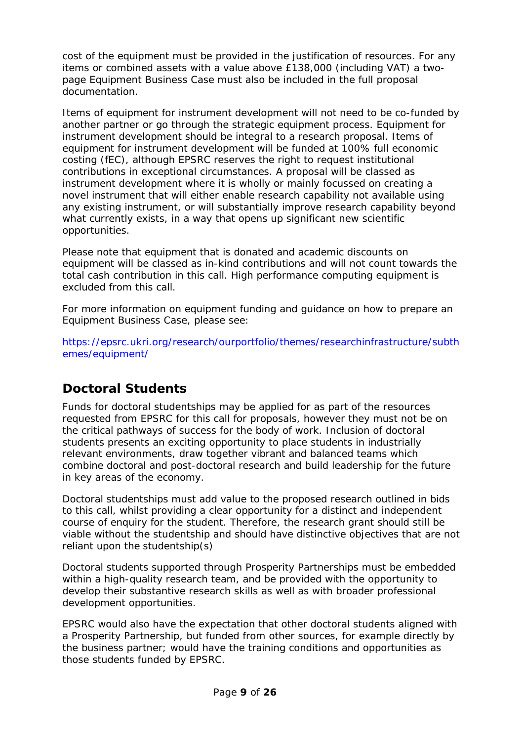cost of the equipment must be provided in the justification of resources. For any items or combined assets with a value above £138,000 (including VAT) a twopage Equipment Business Case must also be included in the full proposal documentation.

Items of equipment for instrument development will not need to be co-funded by another partner or go through the strategic equipment process. Equipment for instrument development should be integral to a research proposal. Items of equipment for instrument development will be funded at 100% full economic costing (fEC), although EPSRC reserves the right to request institutional contributions in exceptional circumstances. A proposal will be classed as instrument development where it is wholly or mainly focussed on creating a novel instrument that will either enable research capability not available using any existing instrument, or will substantially improve research capability beyond what currently exists, in a way that opens up significant new scientific opportunities.

Please note that equipment that is donated and academic discounts on equipment will be classed as in-kind contributions and will not count towards the total cash contribution in this call. High performance computing equipment is excluded from this call.

For more information on equipment funding and guidance on how to prepare an Equipment Business Case, please see:

[https://epsrc.ukri.org/research/ourportfolio/themes/researchinfrastructure/subth](https://epsrc.ukri.org/research/ourportfolio/themes/researchinfrastructure/subthemes/equipment/) [emes/equipment/](https://epsrc.ukri.org/research/ourportfolio/themes/researchinfrastructure/subthemes/equipment/)

## <span id="page-8-0"></span>**Doctoral Students**

Funds for doctoral studentships may be applied for as part of the resources requested from EPSRC for this call for proposals, however they must not be on the critical pathways of success for the body of work. Inclusion of doctoral students presents an exciting opportunity to place students in industrially relevant environments, draw together vibrant and balanced teams which combine doctoral and post-doctoral research and build leadership for the future in key areas of the economy.

Doctoral studentships must add value to the proposed research outlined in bids to this call, whilst providing a clear opportunity for a distinct and independent course of enquiry for the student. Therefore, the research grant should still be viable without the studentship and should have distinctive objectives that are not reliant upon the studentship(s)

Doctoral students supported through Prosperity Partnerships must be embedded within a high-quality research team, and be provided with the opportunity to develop their substantive research skills as well as with broader professional development opportunities.

EPSRC would also have the expectation that other doctoral students aligned with a Prosperity Partnership, but funded from other sources, for example directly by the business partner; would have the training conditions and opportunities as those students funded by EPSRC.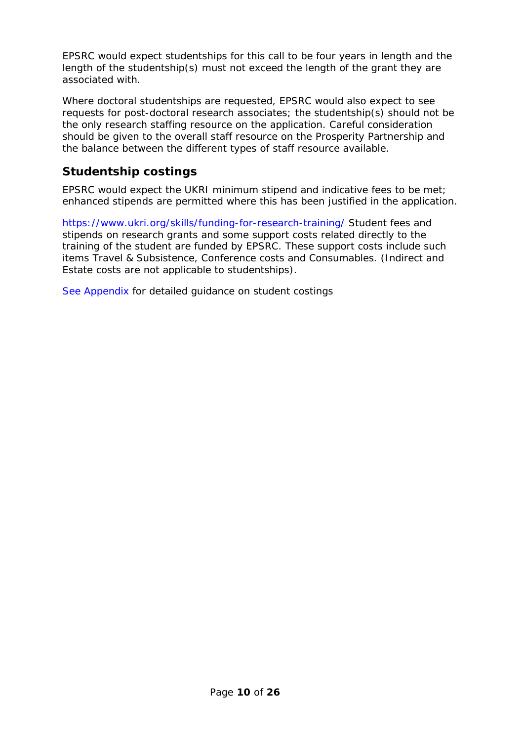EPSRC would expect studentships for this call to be four years in length and the length of the studentship(s) must not exceed the length of the grant they are associated with.

Where doctoral studentships are requested, EPSRC would also expect to see requests for post-doctoral research associates; the studentship(s) should not be the only research staffing resource on the application. Careful consideration should be given to the overall staff resource on the Prosperity Partnership and the balance between the different types of staff resource available.

### **Studentship costings**

EPSRC would expect the UKRI minimum stipend and indicative fees to be met; enhanced stipends are permitted where this has been justified in the application.

<https://www.ukri.org/skills/funding-for-research-training/> Student fees and stipends on research grants and some support costs related directly to the training of the student are funded by EPSRC. These support costs include such items Travel & Subsistence, Conference costs and Consumables. (Indirect and Estate costs are not applicable to studentships).

[See Appendix](#page-23-0) for detailed guidance on student costings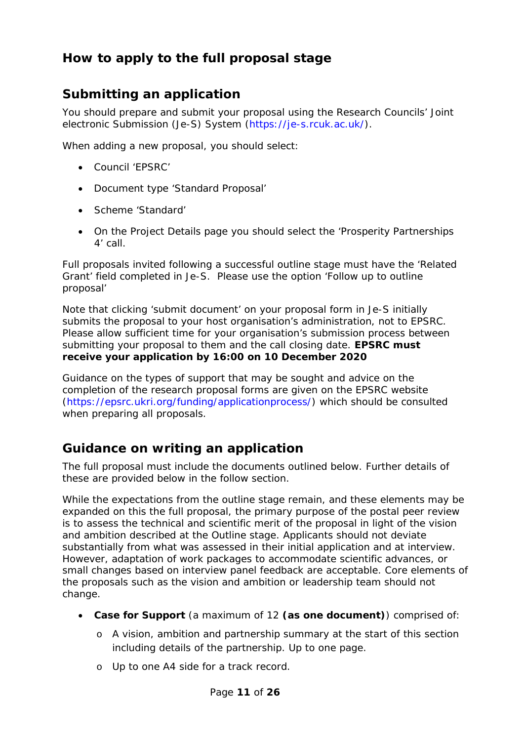# **How to apply to the full proposal stage**

# <span id="page-10-0"></span>**Submitting an application**

You should prepare and submit your proposal using the Research Councils' Joint electronic Submission (Je-S) System [\(https://je-s.rcuk.ac.uk/\)](https://je-s.rcuk.ac.uk/).

When adding a new proposal, you should select:

- Council 'EPSRC'
- Document type 'Standard Proposal'
- Scheme 'Standard'
- On the Project Details page you should select the 'Prosperity Partnerships 4' call.

Full proposals invited following a successful outline stage must have the 'Related Grant' field completed in Je-S. Please use the option 'Follow up to outline proposal'

Note that clicking 'submit document' on your proposal form in Je-S initially submits the proposal to your host organisation's administration, not to EPSRC. Please allow sufficient time for your organisation's submission process between submitting your proposal to them and the call closing date. **EPSRC must receive your application by 16:00 on 10 December 2020**

Guidance on the types of support that may be sought and advice on the completion of the research proposal forms are given on the EPSRC website [\(https://epsrc.ukri.org/funding/applicationprocess/\)](https://epsrc.ukri.org/funding/applicationprocess/) which should be consulted when preparing all proposals.

### <span id="page-10-1"></span>**Guidance on writing an application**

The full proposal must include the documents outlined below. Further details of these are provided below in the follow section.

While the expectations from the outline stage remain, and these elements may be expanded on this the full proposal, the primary purpose of the postal peer review is to assess the technical and scientific merit of the proposal in light of the vision and ambition described at the Outline stage. Applicants should not deviate substantially from what was assessed in their initial application and at interview. However, adaptation of work packages to accommodate scientific advances, or small changes based on interview panel feedback are acceptable. Core elements of the proposals such as the vision and ambition or leadership team should not change.

- **Case for Support** (a maximum of 12 **(as one document)**) comprised of:
	- o A vision, ambition and partnership summary at the start of this section including details of the partnership. Up to one page.
	- o Up to one A4 side for a track record.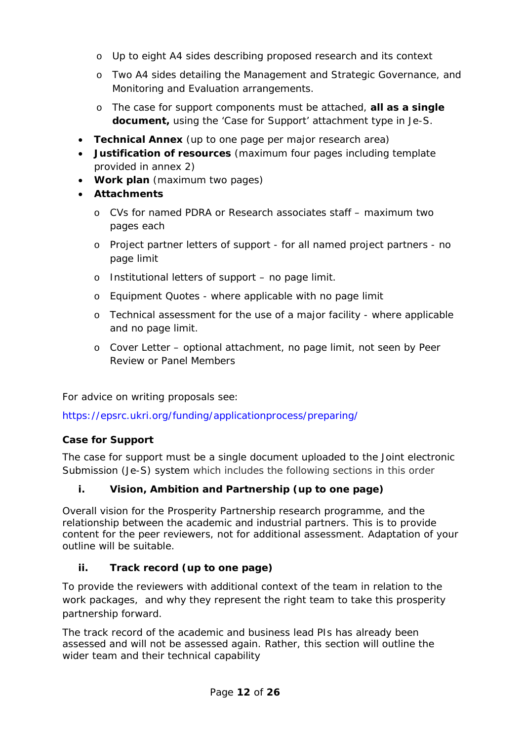- o Up to eight A4 sides describing proposed research and its context
- o Two A4 sides detailing the Management and Strategic Governance, and Monitoring and Evaluation arrangements.
- o The case for support components must be attached, **all as a single document,** using the 'Case for Support' attachment type in Je-S.
- **Technical Annex** (up to one page per major research area)
- **Justification of resources** (maximum four pages including template provided in annex 2)
- **Work plan** (maximum two pages)
- **Attachments** 
	- o CVs for named PDRA or Research associates staff maximum two pages each
	- o Project partner letters of support for all named project partners no page limit
	- o Institutional letters of support no page limit.
	- o Equipment Quotes where applicable with no page limit
	- o Technical assessment for the use of a major facility where applicable and no page limit.
	- o Cover Letter optional attachment, no page limit, not seen by Peer Review or Panel Members

For advice on writing proposals see:

https://epsrc.ukri.org/funding/applicationprocess/preparing/

### **Case for Support**

The case for support must be a single document uploaded to the Joint electronic Submission (Je-S) system which includes the following sections in this order

### **i. Vision, Ambition and Partnership (up to one page)**

Overall vision for the Prosperity Partnership research programme, and the relationship between the academic and industrial partners. This is to provide content for the peer reviewers, not for additional assessment. Adaptation of your outline will be suitable.

### **ii. Track record (up to one page)**

To provide the reviewers with additional context of the team in relation to the work packages, and why they represent the right team to take this prosperity partnership forward.

The track record of the academic and business lead PIs has already been assessed and will not be assessed again. Rather, this section will outline the wider team and their technical capability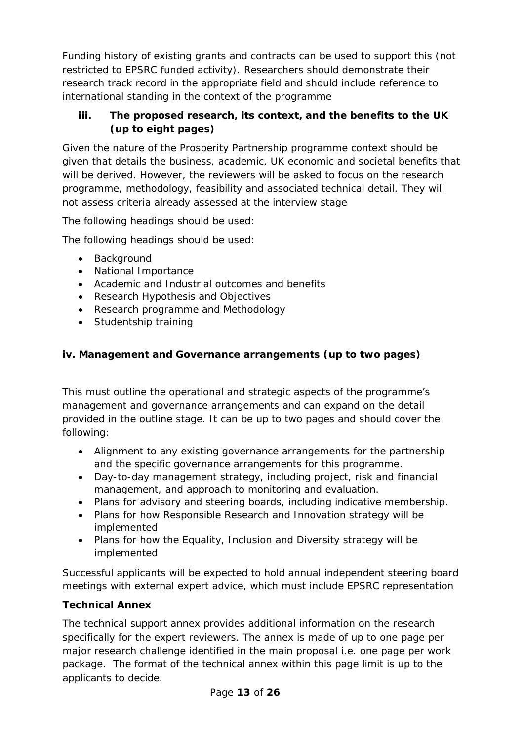Funding history of existing grants and contracts can be used to support this (not restricted to EPSRC funded activity). Researchers should demonstrate their research track record in the appropriate field and should include reference to international standing in the context of the programme

### **iii. The proposed research, its context, and the benefits to the UK (up to eight pages)**

Given the nature of the Prosperity Partnership programme context should be given that details the business, academic, UK economic and societal benefits that will be derived. However, the reviewers will be asked to focus on the research programme, methodology, feasibility and associated technical detail. They will not assess criteria already assessed at the interview stage

The following headings should be used:

The following headings should be used:

- Background
- National Importance
- Academic and Industrial outcomes and benefits
- Research Hypothesis and Objectives
- Research programme and Methodology
- Studentship training

### **iv. Management and Governance arrangements (up to two pages)**

This must outline the operational and strategic aspects of the programme's management and governance arrangements and can expand on the detail provided in the outline stage. It can be up to two pages and should cover the following:

- Alignment to any existing governance arrangements for the partnership and the specific governance arrangements for this programme.
- Day-to-day management strategy, including project, risk and financial management, and approach to monitoring and evaluation.
- Plans for advisory and steering boards, including indicative membership.
- Plans for how Responsible Research and Innovation strategy will be implemented
- Plans for how the Equality, Inclusion and Diversity strategy will be implemented

Successful applicants will be expected to hold annual independent steering board meetings with external expert advice, which must include EPSRC representation

### **Technical Annex**

The technical support annex provides additional information on the research specifically for the expert reviewers. The annex is made of up to one page per major research challenge identified in the main proposal i.e. one page per work package. The format of the technical annex within this page limit is up to the applicants to decide.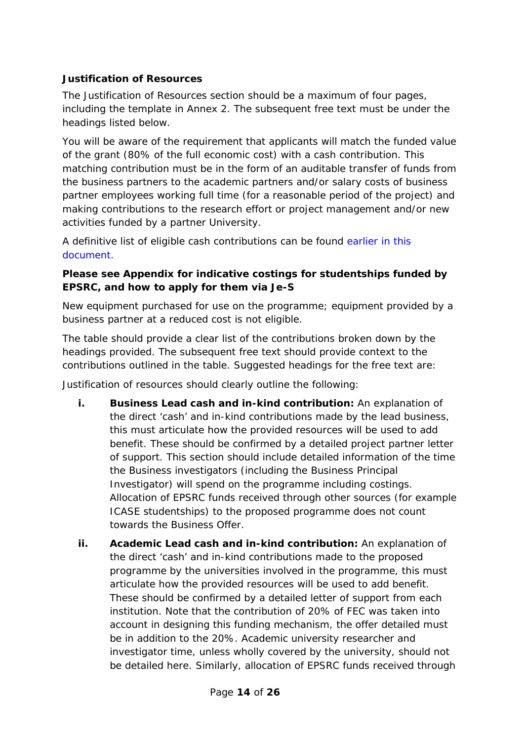### **Justification of Resources**

The Justification of Resources section should be a maximum of four pages, including the template in Annex 2. The subsequent free text must be under the headings listed below.

You will be aware of the requirement that applicants will match the funded value of the grant (80% of the full economic cost) with a cash contribution. This matching contribution must be in the form of an auditable transfer of funds from the business partners to the academic partners and/or salary costs of business partner employees working full time (for a reasonable period of the project) and making contributions to the research effort or project management and/or new activities funded by a partner University.

A definitive list of eligible cash contributions can be found [earlier in this](#page-6-0)  [document.](#page-6-0)

### **Please see Appendix for indicative costings for studentships funded by EPSRC, and how to apply for them via Je-S**

New equipment purchased for use on the programme; equipment provided by a business partner at a reduced cost is not eligible.

The table should provide a clear list of the contributions broken down by the headings provided. The subsequent free text should provide context to the contributions outlined in the table. Suggested headings for the free text are:

Justification of resources should clearly outline the following:

- **i. Business Lead cash and in-kind contribution:** An explanation of the direct 'cash' and in-kind contributions made by the lead business, this must articulate how the provided resources will be used to add benefit. These should be confirmed by a detailed project partner letter of support. This section should include detailed information of the time the Business investigators (including the Business Principal Investigator) will spend on the programme including costings. Allocation of EPSRC funds received through other sources (for example ICASE studentships) to the proposed programme does not count towards the Business Offer.
- **ii. Academic Lead cash and in-kind contribution:** An explanation of the direct 'cash' and in-kind contributions made to the proposed programme by the universities involved in the programme, this must articulate how the provided resources will be used to add benefit. These should be confirmed by a detailed letter of support from each institution. Note that the contribution of 20% of FEC was taken into account in designing this funding mechanism, the offer detailed must be in addition to the 20%. Academic university researcher and investigator time, unless wholly covered by the university, should not be detailed here. Similarly, allocation of EPSRC funds received through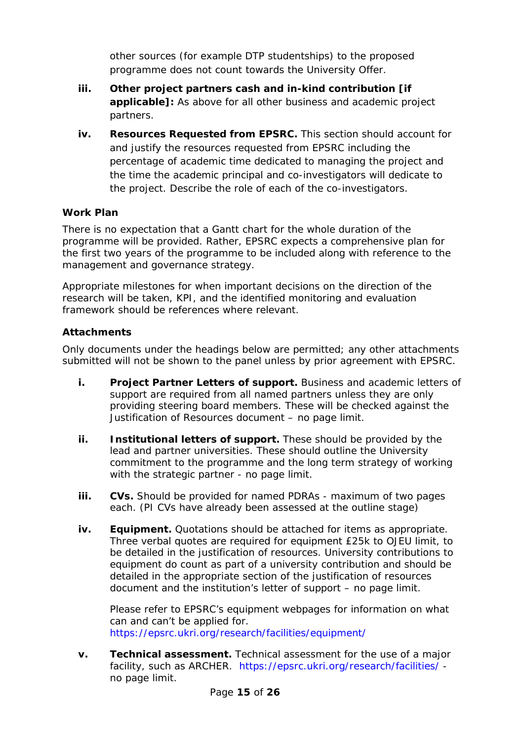other sources (for example DTP studentships) to the proposed programme does not count towards the University Offer.

- **iii. Other project partners cash and in-kind contribution [if applicable]:** As above for all other business and academic project partners.
- **iv. Resources Requested from EPSRC.** This section should account for and justify the resources requested from EPSRC including the percentage of academic time dedicated to managing the project and the time the academic principal and co-investigators will dedicate to the project. Describe the role of each of the co-investigators.

### **Work Plan**

There is no expectation that a Gantt chart for the whole duration of the programme will be provided. Rather, EPSRC expects a comprehensive plan for the first two years of the programme to be included along with reference to the management and governance strategy.

Appropriate milestones for when important decisions on the direction of the research will be taken, KPI, and the identified monitoring and evaluation framework should be references where relevant.

### **Attachments**

Only documents under the headings below are permitted; any other attachments submitted will not be shown to the panel unless by prior agreement with EPSRC.

- **i. Project Partner Letters of support.** Business and academic letters of support are required from all named partners unless they are only providing steering board members. These will be checked against the Justification of Resources document – no page limit.
- **ii. Institutional letters of support.** These should be provided by the lead and partner universities. These should outline the University commitment to the programme and the long term strategy of working with the strategic partner - no page limit.
- **iii. CVs.** Should be provided for named PDRAs maximum of two pages each. (PI CVs have already been assessed at the outline stage)
- **iv. Equipment.** Quotations should be attached for items as appropriate. Three verbal quotes are required for equipment £25k to OJEU limit, to be detailed in the justification of resources. University contributions to equipment do count as part of a university contribution and should be detailed in the appropriate section of the justification of resources document and the institution's letter of support – no page limit.

Please refer to EPSRC's equipment webpages for information on what can and can't be applied for. <https://epsrc.ukri.org/research/facilities/equipment/>

**v. Technical assessment.** Technical assessment for the use of a major facility, such as ARCHER. https://epsrc.ukri.org/research/facilities/ no page limit.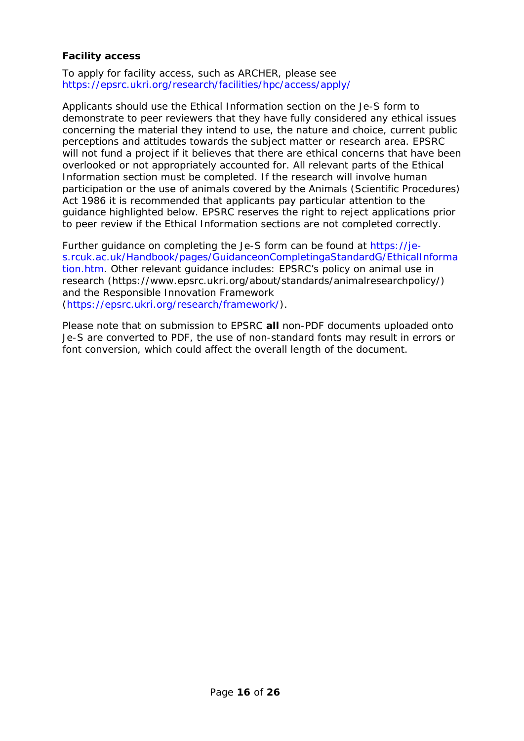#### **Facility access**

To apply for facility access, such as ARCHER, please see https://epsrc.ukri.org/research/facilities/hpc/access/apply/

Applicants should use the Ethical Information section on the Je-S form to demonstrate to peer reviewers that they have fully considered any ethical issues concerning the material they intend to use, the nature and choice, current public perceptions and attitudes towards the subject matter or research area. EPSRC will not fund a project if it believes that there are ethical concerns that have been overlooked or not appropriately accounted for. All relevant parts of the Ethical Information section must be completed. If the research will involve human participation or the use of animals covered by the Animals (Scientific Procedures) Act 1986 it is recommended that applicants pay particular attention to the guidance highlighted below. EPSRC reserves the right to reject applications prior to peer review if the Ethical Information sections are not completed correctly.

Further guidance on completing the Je-S form can be found at [https://je](https://je-s.rcuk.ac.uk/Handbook/pages/GuidanceonCompletingaStandardG/EthicalInformation.htm)[s.rcuk.ac.uk/Handbook/pages/GuidanceonCompletingaStandardG/EthicalInforma](https://je-s.rcuk.ac.uk/Handbook/pages/GuidanceonCompletingaStandardG/EthicalInformation.htm) [tion.htm.](https://je-s.rcuk.ac.uk/Handbook/pages/GuidanceonCompletingaStandardG/EthicalInformation.htm) Other relevant guidance includes: EPSRC's policy on animal use in research (https://www.epsrc.ukri.org/about/standards/animalresearchpolicy/) and the Responsible Innovation Framework [\(https://epsrc.ukri.org/research/framework/\)](https://epsrc.ukri.org/research/framework/).

Please note that on submission to EPSRC **all** non-PDF documents uploaded onto Je-S are converted to PDF, the use of non-standard fonts may result in errors or font conversion, which could affect the overall length of the document.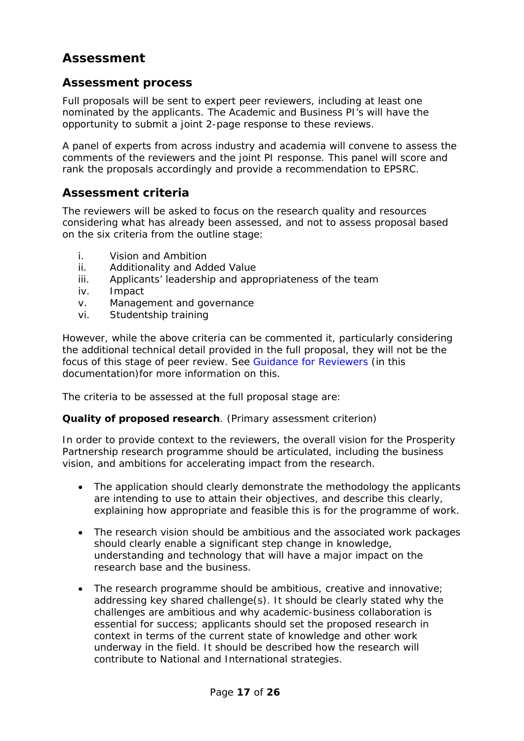## **Assessment**

### <span id="page-16-0"></span>**Assessment process**

Full proposals will be sent to expert peer reviewers, including at least one nominated by the applicants. The Academic and Business PI's will have the opportunity to submit a joint 2-page response to these reviews.

A panel of experts from across industry and academia will convene to assess the comments of the reviewers and the joint PI response. This panel will score and rank the proposals accordingly and provide a recommendation to EPSRC.

### <span id="page-16-2"></span>**Assessment criteria**

The reviewers will be asked to focus on the research quality and resources considering what has already been assessed, and not to assess proposal based on the six criteria from the outline stage:

- <span id="page-16-1"></span>i. Vision and Ambition
- ii. Additionality and Added Value
- iii. Applicants' leadership and appropriateness of the team
- iv. Impact
- v. Management and governance
- vi. Studentship training

However, while the above criteria can be commented it, particularly considering the additional technical detail provided in the full proposal, they will not be the focus of this stage of peer review. See Guidance [for Reviewers](#page-19-0) (in this documentation)for more information on this.

The criteria to be assessed at the full proposal stage are:

#### **Quality of proposed research**. (Primary assessment criterion)

In order to provide context to the reviewers, the overall vision for the Prosperity Partnership research programme should be articulated, including the business vision, and ambitions for accelerating impact from the research.

- The application should clearly demonstrate the methodology the applicants are intending to use to attain their objectives, and describe this clearly, explaining how appropriate and feasible this is for the programme of work.
- The research vision should be ambitious and the associated work packages should clearly enable a significant step change in knowledge, understanding and technology that will have a major impact on the research base and the business.
- The research programme should be ambitious, creative and innovative; addressing key shared challenge(s). It should be clearly stated why the challenges are ambitious and why academic-business collaboration is essential for success; applicants should set the proposed research in context in terms of the current state of knowledge and other work underway in the field. It should be described how the research will contribute to National and International strategies.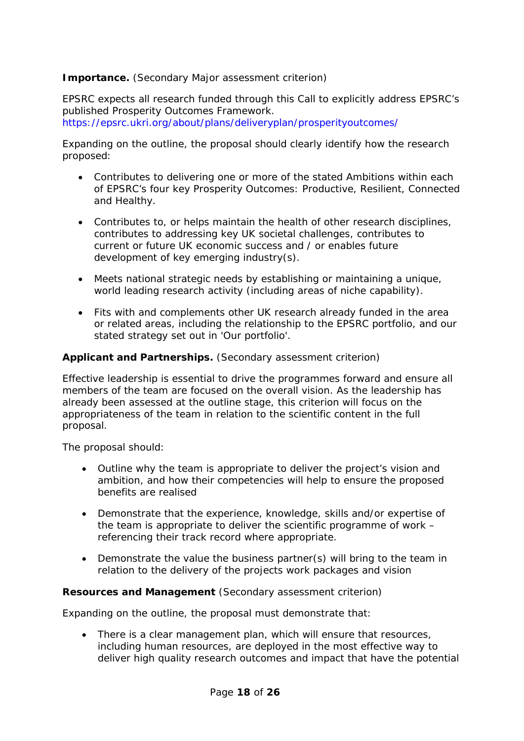### **Importance.** (Secondary Major assessment criterion)

EPSRC expects all research funded through this Call to explicitly address EPSRC's published Prosperity Outcomes Framework. <https://epsrc.ukri.org/about/plans/deliveryplan/prosperityoutcomes/>

Expanding on the outline, the proposal should clearly identify how the research proposed:

- Contributes to delivering one or more of the stated Ambitions within each of EPSRC's four key Prosperity Outcomes: Productive, Resilient, Connected and Healthy.
- Contributes to, or helps maintain the health of other research disciplines, contributes to addressing key UK societal challenges, contributes to current or future UK economic success and / or enables future development of key emerging industry(s).
- Meets national strategic needs by establishing or maintaining a unique, world leading research activity (including areas of niche capability).
- Fits with and complements other UK research already funded in the area or related areas, including the relationship to the EPSRC portfolio, and our stated strategy set out in 'Our portfolio'.

#### **Applicant and Partnerships.** (Secondary assessment criterion)

Effective leadership is essential to drive the programmes forward and ensure all members of the team are focused on the overall vision. As the leadership has already been assessed at the outline stage, this criterion will focus on the appropriateness of the team in relation to the scientific content in the full proposal.

The proposal should:

- Outline why the team is appropriate to deliver the project's vision and ambition, and how their competencies will help to ensure the proposed benefits are realised
- Demonstrate that the experience, knowledge, skills and/or expertise of the team is appropriate to deliver the scientific programme of work – referencing their track record where appropriate.
- Demonstrate the value the business partner(s) will bring to the team in relation to the delivery of the projects work packages and vision

#### **Resources and Management** (Secondary assessment criterion)

Expanding on the outline, the proposal must demonstrate that:

• There is a clear management plan, which will ensure that resources, including human resources, are deployed in the most effective way to deliver high quality research outcomes and impact that have the potential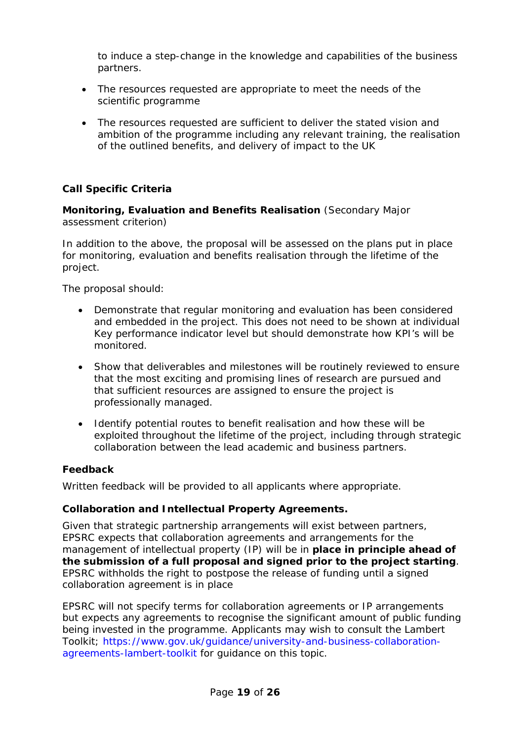to induce a step-change in the knowledge and capabilities of the business partners.

- The resources requested are appropriate to meet the needs of the scientific programme
- The resources requested are sufficient to deliver the stated vision and ambition of the programme including any relevant training, the realisation of the outlined benefits, and delivery of impact to the UK

### **Call Specific Criteria**

**Monitoring, Evaluation and Benefits Realisation** (Secondary Major assessment criterion)

In addition to the above, the proposal will be assessed on the plans put in place for monitoring, evaluation and benefits realisation through the lifetime of the project.

The proposal should:

- Demonstrate that regular monitoring and evaluation has been considered and embedded in the project. This does not need to be shown at individual Key performance indicator level but should demonstrate how KPI's will be monitored.
- Show that deliverables and milestones will be routinely reviewed to ensure that the most exciting and promising lines of research are pursued and that sufficient resources are assigned to ensure the project is professionally managed.
- Identify potential routes to benefit realisation and how these will be exploited throughout the lifetime of the project, including through strategic collaboration between the lead academic and business partners.

#### **Feedback**

Written feedback will be provided to all applicants where appropriate.

#### **Collaboration and Intellectual Property Agreements.**

Given that strategic partnership arrangements will exist between partners, EPSRC expects that collaboration agreements and arrangements for the management of intellectual property (IP) will be in **place in principle ahead of the submission of a full proposal and signed prior to the project starting**. EPSRC withholds the right to postpose the release of funding until a signed collaboration agreement is in place

EPSRC will not specify terms for collaboration agreements or IP arrangements but expects any agreements to recognise the significant amount of public funding being invested in the programme. Applicants may wish to consult the Lambert Toolkit; https://www.gov.uk/guidance/university-and-business-collaborationagreements-lambert-toolkit for guidance on this topic.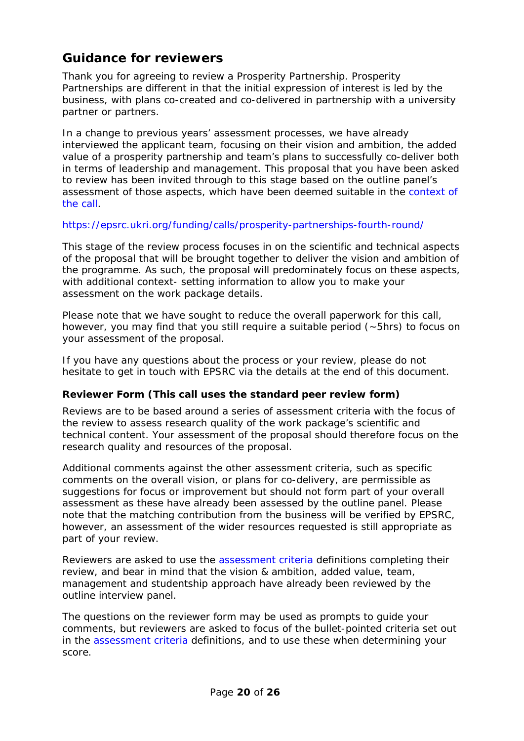## <span id="page-19-0"></span>**Guidance for reviewers**

Thank you for agreeing to review a Prosperity Partnership. Prosperity Partnerships are different in that the initial expression of interest is led by the business, with plans co-created and co-delivered in partnership with a university partner or partners.

In a change to previous years' assessment processes, we have already interviewed the applicant team, focusing on their vision and ambition, the added value of a prosperity partnership and team's plans to successfully co-deliver both in terms of leadership and management. This proposal that you have been asked to review has been invited through to this stage based on the outline panel's assessment of those aspects, which have been deemed suitable in the [context of](https://epsrc.ukri.org/funding/calls/prosperity-partnerships-fourth-round/)  [the call.](https://epsrc.ukri.org/funding/calls/prosperity-partnerships-fourth-round/)

#### <https://epsrc.ukri.org/funding/calls/prosperity-partnerships-fourth-round/>

This stage of the review process focuses in on the scientific and technical aspects of the proposal that will be brought together to deliver the vision and ambition of the programme. As such, the proposal will predominately focus on these aspects, with additional context- setting information to allow you to make your assessment on the work package details.

Please note that we have sought to reduce the overall paperwork for this call, however, you may find that you still require a suitable period (~5hrs) to focus on your assessment of the proposal.

If you have any questions about the process or your review, please do not hesitate to get in touch with EPSRC via the details at the end of this document.

#### **Reviewer Form (This call uses the standard peer review form)**

Reviews are to be based around a series of assessment criteria with the focus of the review to assess research quality of the work package's scientific and technical content. Your assessment of the proposal should therefore focus on the research quality and resources of the proposal.

Additional comments against the other assessment criteria, such as specific comments on the overall vision, or plans for co-delivery, are permissible as suggestions for focus or improvement but should not form part of your overall assessment as these have already been assessed by the outline panel. Please note that the matching contribution from the business will be verified by EPSRC, however, an assessment of the wider resources requested is still appropriate as part of your review.

Reviewers are asked to use the [assessment criteria](#page-16-2) definitions completing their review, and bear in mind that the vision & ambition, added value, team, management and studentship approach have already been reviewed by the outline interview panel.

The questions on the reviewer form may be used as prompts to guide your comments, but reviewers are asked to focus of the bullet-pointed criteria set out in the [assessment criteria](#page-16-2) definitions, and to use these when determining your score.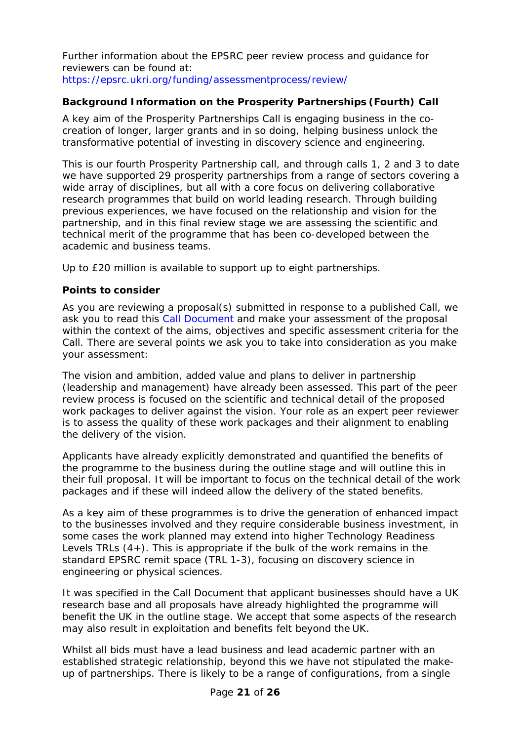Further information about the EPSRC peer review process and guidance for reviewers can be found at: [https://epsrc.ukri.org/funding/assessmentprocess/review/](https://epsrc.ukri.org/funding/assessmentprocess/review/formsandguidancenotes/)

### **Background Information on the Prosperity Partnerships (Fourth) Call**

A key aim of the Prosperity Partnerships Call is engaging business in the cocreation of longer, larger grants and in so doing, helping business unlock the transformative potential of investing in discovery science and engineering.

This is our fourth Prosperity Partnership call, and through calls 1, 2 and 3 to date we have supported 29 prosperity partnerships from a range of sectors covering a wide array of disciplines, but all with a core focus on delivering collaborative research programmes that build on world leading research. Through building previous experiences, we have focused on the relationship and vision for the partnership, and in this final review stage we are assessing the scientific and technical merit of the programme that has been co-developed between the academic and business teams.

Up to £20 million is available to support up to eight partnerships.

#### **Points to consider**

As you are reviewing a proposal(s) submitted in response to a published Call, we ask you to read this Call Document and make your assessment of the proposal within the context of the aims, objectives and specific assessment criteria for the Call. There are several points we ask you to take into consideration as you make your assessment:

The vision and ambition, added value and plans to deliver in partnership (leadership and management) have already been assessed. This part of the peer review process is focused on the scientific and technical detail of the proposed work packages to deliver against the vision. Your role as an expert peer reviewer is to assess the quality of these work packages and their alignment to enabling the delivery of the vision.

Applicants have already explicitly demonstrated and quantified the benefits of the programme to the business during the outline stage and will outline this in their full proposal. It will be important to focus on the technical detail of the work packages and if these will indeed allow the delivery of the stated benefits.

As a key aim of these programmes is to drive the generation of enhanced impact to the businesses involved and they require considerable business investment, in some cases the work planned may extend into higher Technology Readiness Levels TRLs  $(4+)$ . This is appropriate if the bulk of the work remains in the standard EPSRC remit space (TRL 1-3), focusing on discovery science in engineering or physical sciences.

It was specified in the Call Document that applicant businesses should have a UK research base and all proposals have already highlighted the programme will benefit the UK in the outline stage. We accept that some aspects of the research may also result in exploitation and benefits felt beyond the UK.

Whilst all bids must have a lead business and lead academic partner with an established strategic relationship, beyond this we have not stipulated the makeup of partnerships. There is likely to be a range of configurations, from a single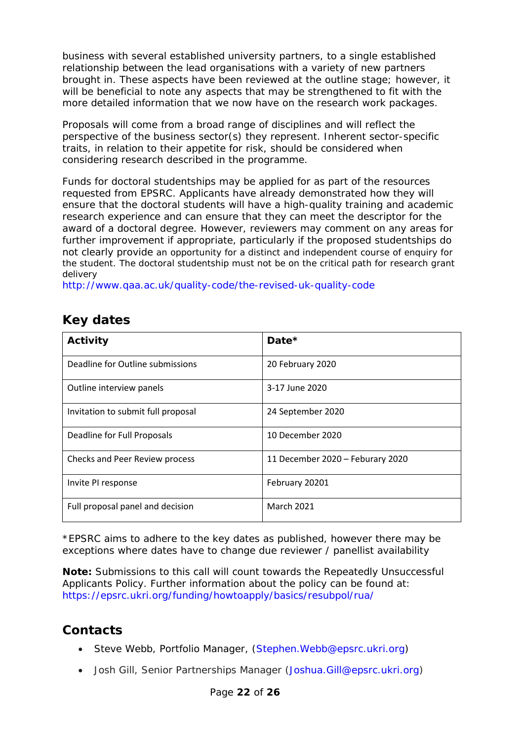business with several established university partners, to a single established relationship between the lead organisations with a variety of new partners brought in. These aspects have been reviewed at the outline stage; however, it will be beneficial to note any aspects that may be strengthened to fit with the more detailed information that we now have on the research work packages.

Proposals will come from a broad range of disciplines and will reflect the perspective of the business sector(s) they represent. Inherent sector-specific traits, in relation to their appetite for risk, should be considered when considering research described in the programme.

Funds for doctoral studentships may be applied for as part of the resources requested from EPSRC. Applicants have already demonstrated how they will ensure that the doctoral students will have a high-quality training and academic research experience and can ensure that they can meet the descriptor for the award of a doctoral degree. However, reviewers may comment on any areas for further improvement if appropriate, particularly if the proposed studentships do not clearly provide an opportunity for a distinct and independent course of enquiry for the student. The doctoral studentship must not be on the critical path for research grant delivery

<http://www.qaa.ac.uk/quality-code/the-revised-uk-quality-code>

## <span id="page-21-0"></span>**Key dates**

| Activity                           | Date*                            |
|------------------------------------|----------------------------------|
| Deadline for Outline submissions   | 20 February 2020                 |
| Outline interview panels           | 3-17 June 2020                   |
| Invitation to submit full proposal | 24 September 2020                |
| Deadline for Full Proposals        | 10 December 2020                 |
| Checks and Peer Review process     | 11 December 2020 - Feburary 2020 |
| Invite PI response                 | February 20201                   |
| Full proposal panel and decision   | <b>March 2021</b>                |

\*EPSRC aims to adhere to the key dates as published, however there may be exceptions where dates have to change due reviewer / panellist availability

**Note:** Submissions to this call will count towards the Repeatedly Unsuccessful Applicants Policy. Further information about the policy can be found at: <https://epsrc.ukri.org/funding/howtoapply/basics/resubpol/rua/>

### **Contacts**

- <span id="page-21-1"></span>• Steve Webb, Portfolio Manager, (Stephen. Webb@epsrc.ukri.org)
- Josh Gill, Senior Partnerships Manager [\(Joshua.Gill@epsrc.ukri.org\)](mailto:Joshua.Gill@epsrc.ukri.org)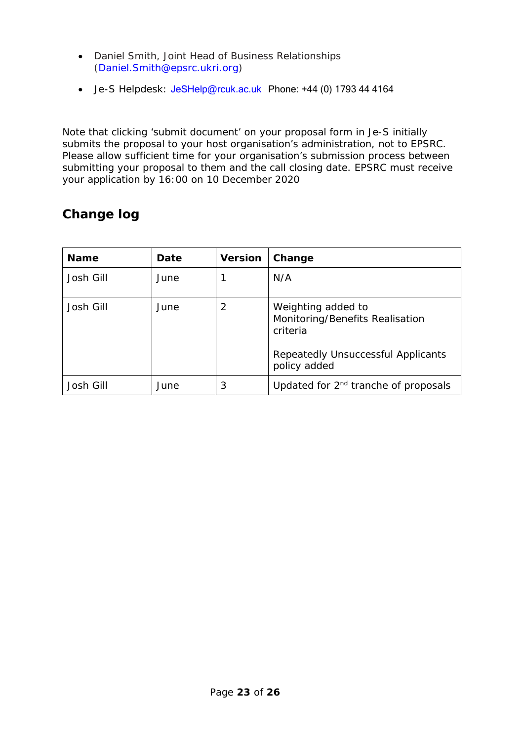- Daniel Smith, Joint Head of Business Relationships [\(Daniel.Smith@epsrc.ukri.org\)](mailto:Daniel.Smith@epsrc.ukri.org)
- Je-S Helpdesk: [JeSHelp@rcuk.ac.uk](mailto:JeSHelp@rcuk.ac.uk) Phone: +44 (0) 1793 44 4164

Note that clicking 'submit document' on your proposal form in Je-S initially submits the proposal to your host organisation's administration, not to EPSRC. Please allow sufficient time for your organisation's submission process between submitting your proposal to them and the call closing date. EPSRC must receive your application by 16:00 on 10 December 2020

# <span id="page-22-0"></span>**Change log**

<span id="page-22-1"></span>

| <b>Name</b> | Date | <b>Version</b> | Change                                                                                                                  |
|-------------|------|----------------|-------------------------------------------------------------------------------------------------------------------------|
| Josh Gill   | June |                | N/A                                                                                                                     |
| Josh Gill   | June | 2              | Weighting added to<br>Monitoring/Benefits Realisation<br>criteria<br>Repeatedly Unsuccessful Applicants<br>policy added |
| Josh Gill   | June | 3              | Updated for 2 <sup>nd</sup> tranche of proposals                                                                        |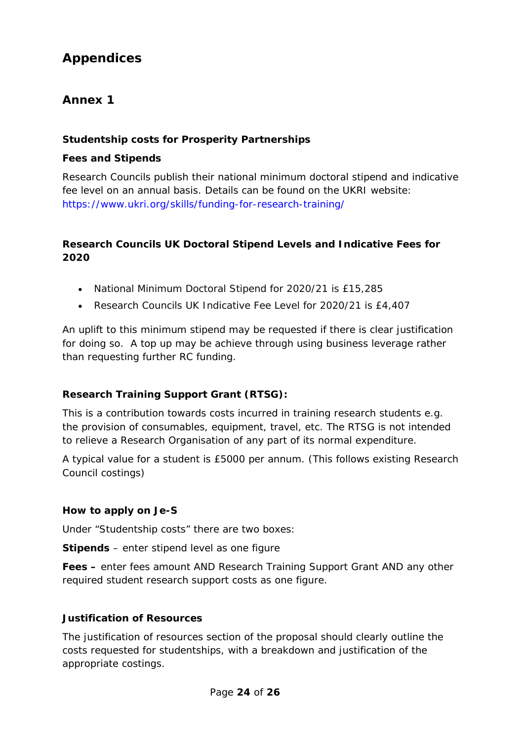# **Appendices**

### <span id="page-23-0"></span>**Annex 1**

### **Studentship costs for Prosperity Partnerships**

### **Fees and Stipends**

Research Councils publish their national minimum doctoral stipend and indicative fee level on an annual basis. Details can be found on the UKRI website: <https://www.ukri.org/skills/funding-for-research-training/>

### **Research Councils UK Doctoral Stipend Levels and Indicative Fees for 2020**

- National Minimum Doctoral Stipend for 2020/21 is £15,285
- Research Councils UK Indicative Fee Level for 2020/21 is £4,407

An uplift to this minimum stipend may be requested if there is clear justification for doing so. A top up may be achieve through using business leverage rather than requesting further RC funding.

### **Research Training Support Grant (RTSG):**

This is a contribution towards costs incurred in training research students e.g. the provision of consumables, equipment, travel, etc. The RTSG is not intended to relieve a Research Organisation of any part of its normal expenditure.

A typical value for a student is £5000 per annum. (This follows existing Research Council costings)

### **How to apply on Je-S**

Under "Studentship costs" there are two boxes:

**Stipends** – enter stipend level as one figure

**Fees –** enter fees amount AND Research Training Support Grant AND any other required student research support costs as one figure.

#### **Justification of Resources**

The justification of resources section of the proposal should clearly outline the costs requested for studentships, with a breakdown and justification of the appropriate costings.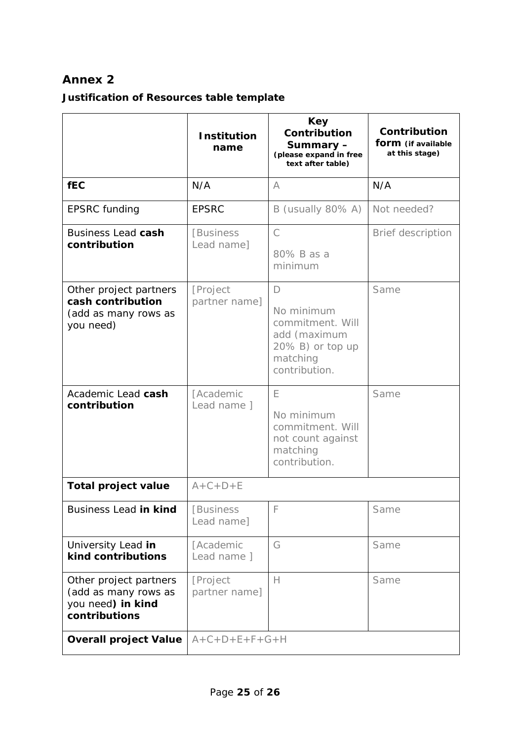### <span id="page-24-0"></span>**Annex 2**

# **Justification of Resources table template**

|                                                                                      | <b>Institution</b><br>name      | Key<br>Contribution<br>Summary-<br>(please expand in free<br>text after table)                               | Contribution<br>form (if available<br>at this stage) |
|--------------------------------------------------------------------------------------|---------------------------------|--------------------------------------------------------------------------------------------------------------|------------------------------------------------------|
| <b>fEC</b>                                                                           | N/A                             | A                                                                                                            | N/A                                                  |
| <b>EPSRC</b> funding                                                                 | <b>EPSRC</b>                    | B (usually 80% A)                                                                                            | Not needed?                                          |
| <b>Business Lead cash</b><br>contribution                                            | [Business]<br>Lead name]        | $\mathcal{C}$<br>80% B as a<br>minimum                                                                       | Brief description                                    |
| Other project partners<br>cash contribution<br>(add as many rows as<br>you need)     | [Project<br>partner name]       | $\Box$<br>No minimum<br>commitment. Will<br>add (maximum<br>$20\%$ B) or top up<br>matching<br>contribution. | Same                                                 |
| Academic Lead cash<br>contribution                                                   | <b>[Academic</b><br>Lead name 1 | E<br>No minimum<br>commitment. Will<br>not count against<br>matching<br>contribution.                        | Same                                                 |
| <b>Total project value</b>                                                           | $A + C + D + E$                 |                                                                                                              |                                                      |
| Business Lead in kind                                                                | [Business<br>Lead name]         | F                                                                                                            | Same                                                 |
| University Lead in<br>kind contributions                                             | [Academic<br>Lead name ]        | G                                                                                                            | Same                                                 |
| Other project partners<br>(add as many rows as<br>you need) in kind<br>contributions | [Project<br>partner name]       | $\mathsf{H}$                                                                                                 | Same                                                 |
| <b>Overall project Value</b>                                                         | $A+C+D+E+F+G+H$                 |                                                                                                              |                                                      |